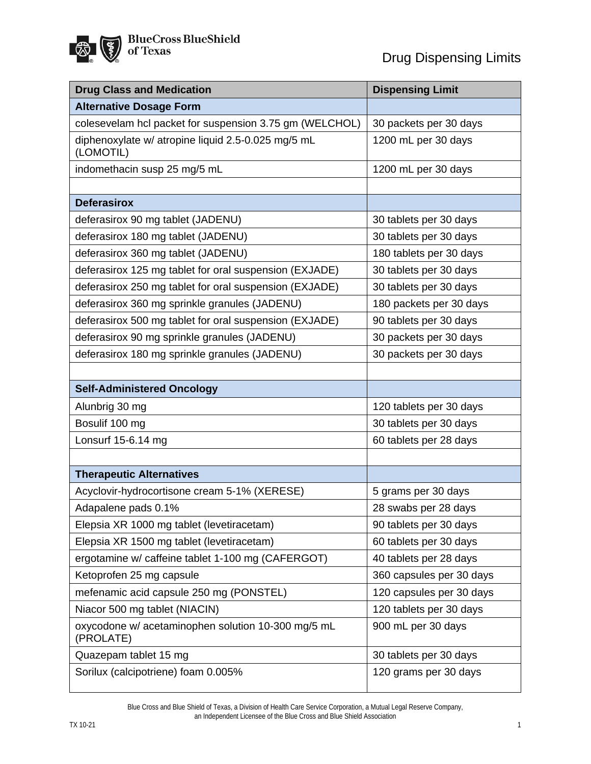「

| <b>Drug Class and Medication</b>                                | <b>Dispensing Limit</b>  |
|-----------------------------------------------------------------|--------------------------|
| <b>Alternative Dosage Form</b>                                  |                          |
| colesevelam hcl packet for suspension 3.75 gm (WELCHOL)         | 30 packets per 30 days   |
| diphenoxylate w/ atropine liquid 2.5-0.025 mg/5 mL<br>(LOMOTIL) | 1200 mL per 30 days      |
| indomethacin susp 25 mg/5 mL                                    | 1200 mL per 30 days      |
|                                                                 |                          |
| <b>Deferasirox</b>                                              |                          |
| deferasirox 90 mg tablet (JADENU)                               | 30 tablets per 30 days   |
| deferasirox 180 mg tablet (JADENU)                              | 30 tablets per 30 days   |
| deferasirox 360 mg tablet (JADENU)                              | 180 tablets per 30 days  |
| deferasirox 125 mg tablet for oral suspension (EXJADE)          | 30 tablets per 30 days   |
| deferasirox 250 mg tablet for oral suspension (EXJADE)          | 30 tablets per 30 days   |
| deferasirox 360 mg sprinkle granules (JADENU)                   | 180 packets per 30 days  |
| deferasirox 500 mg tablet for oral suspension (EXJADE)          | 90 tablets per 30 days   |
| deferasirox 90 mg sprinkle granules (JADENU)                    | 30 packets per 30 days   |
| deferasirox 180 mg sprinkle granules (JADENU)                   | 30 packets per 30 days   |
|                                                                 |                          |
| <b>Self-Administered Oncology</b>                               |                          |
| Alunbrig 30 mg                                                  | 120 tablets per 30 days  |
| Bosulif 100 mg                                                  | 30 tablets per 30 days   |
| Lonsurf 15-6.14 mg                                              | 60 tablets per 28 days   |
|                                                                 |                          |
| <b>Therapeutic Alternatives</b>                                 |                          |
| Acyclovir-hydrocortisone cream 5-1% (XERESE)                    | 5 grams per 30 days      |
| Adapalene pads 0.1%                                             | 28 swabs per 28 days     |
| Elepsia XR 1000 mg tablet (levetiracetam)                       | 90 tablets per 30 days   |
| Elepsia XR 1500 mg tablet (levetiracetam)                       | 60 tablets per 30 days   |
| ergotamine w/ caffeine tablet 1-100 mg (CAFERGOT)               | 40 tablets per 28 days   |
| Ketoprofen 25 mg capsule                                        | 360 capsules per 30 days |
| mefenamic acid capsule 250 mg (PONSTEL)                         | 120 capsules per 30 days |
| Niacor 500 mg tablet (NIACIN)                                   | 120 tablets per 30 days  |
| oxycodone w/ acetaminophen solution 10-300 mg/5 mL<br>(PROLATE) | 900 mL per 30 days       |
| Quazepam tablet 15 mg                                           | 30 tablets per 30 days   |
| Sorilux (calcipotriene) foam 0.005%                             | 120 grams per 30 days    |

Blue Cross and Blue Shield of Texas, a Division of Health Care Service Corporation, a Mutual Legal Reserve Company, an Independent Licensee of the Blue Cross and Blue Shield Association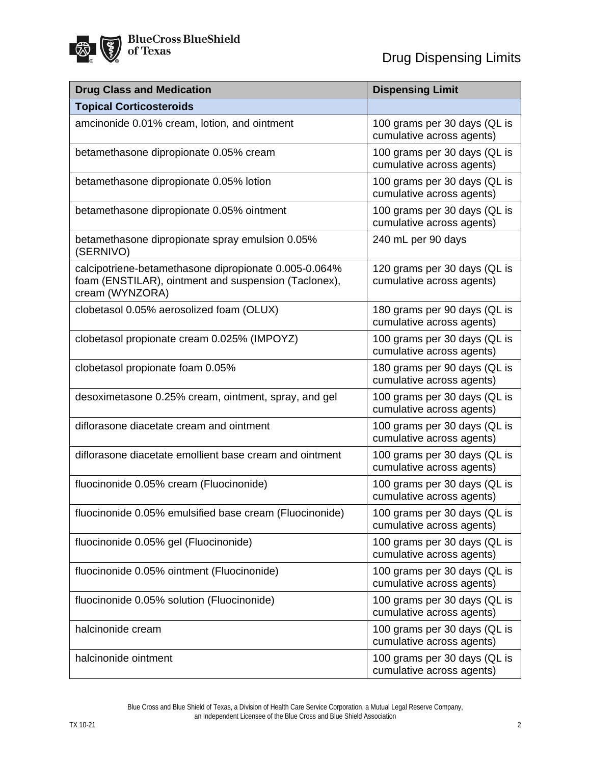| <b>Drug Class and Medication</b>                                                                                                 | <b>Dispensing Limit</b>                                   |
|----------------------------------------------------------------------------------------------------------------------------------|-----------------------------------------------------------|
| <b>Topical Corticosteroids</b>                                                                                                   |                                                           |
| amcinonide 0.01% cream, lotion, and ointment                                                                                     | 100 grams per 30 days (QL is<br>cumulative across agents) |
| betamethasone dipropionate 0.05% cream                                                                                           | 100 grams per 30 days (QL is<br>cumulative across agents) |
| betamethasone dipropionate 0.05% lotion                                                                                          | 100 grams per 30 days (QL is<br>cumulative across agents) |
| betamethasone dipropionate 0.05% ointment                                                                                        | 100 grams per 30 days (QL is<br>cumulative across agents) |
| betamethasone dipropionate spray emulsion 0.05%<br>(SERNIVO)                                                                     | 240 mL per 90 days                                        |
| calcipotriene-betamethasone dipropionate 0.005-0.064%<br>foam (ENSTILAR), ointment and suspension (Taclonex),<br>cream (WYNZORA) | 120 grams per 30 days (QL is<br>cumulative across agents) |
| clobetasol 0.05% aerosolized foam (OLUX)                                                                                         | 180 grams per 90 days (QL is<br>cumulative across agents) |
| clobetasol propionate cream 0.025% (IMPOYZ)                                                                                      | 100 grams per 30 days (QL is<br>cumulative across agents) |
| clobetasol propionate foam 0.05%                                                                                                 | 180 grams per 90 days (QL is<br>cumulative across agents) |
| desoximetasone 0.25% cream, ointment, spray, and gel                                                                             | 100 grams per 30 days (QL is<br>cumulative across agents) |
| diflorasone diacetate cream and ointment                                                                                         | 100 grams per 30 days (QL is<br>cumulative across agents) |
| diflorasone diacetate emollient base cream and ointment                                                                          | 100 grams per 30 days (QL is<br>cumulative across agents) |
| fluocinonide 0.05% cream (Fluocinonide)                                                                                          | 100 grams per 30 days (QL is<br>cumulative across agents) |
| fluocinonide 0.05% emulsified base cream (Fluocinonide)                                                                          | 100 grams per 30 days (QL is<br>cumulative across agents) |
| fluocinonide 0.05% gel (Fluocinonide)                                                                                            | 100 grams per 30 days (QL is<br>cumulative across agents) |
| fluocinonide 0.05% ointment (Fluocinonide)                                                                                       | 100 grams per 30 days (QL is<br>cumulative across agents) |
| fluocinonide 0.05% solution (Fluocinonide)                                                                                       | 100 grams per 30 days (QL is<br>cumulative across agents) |
| halcinonide cream                                                                                                                | 100 grams per 30 days (QL is<br>cumulative across agents) |
| halcinonide ointment                                                                                                             | 100 grams per 30 days (QL is<br>cumulative across agents) |

Blue Cross and Blue Shield of Texas, a Division of Health Care Service Corporation, a Mutual Legal Reserve Company, an Independent Licensee of the Blue Cross and Blue Shield Association